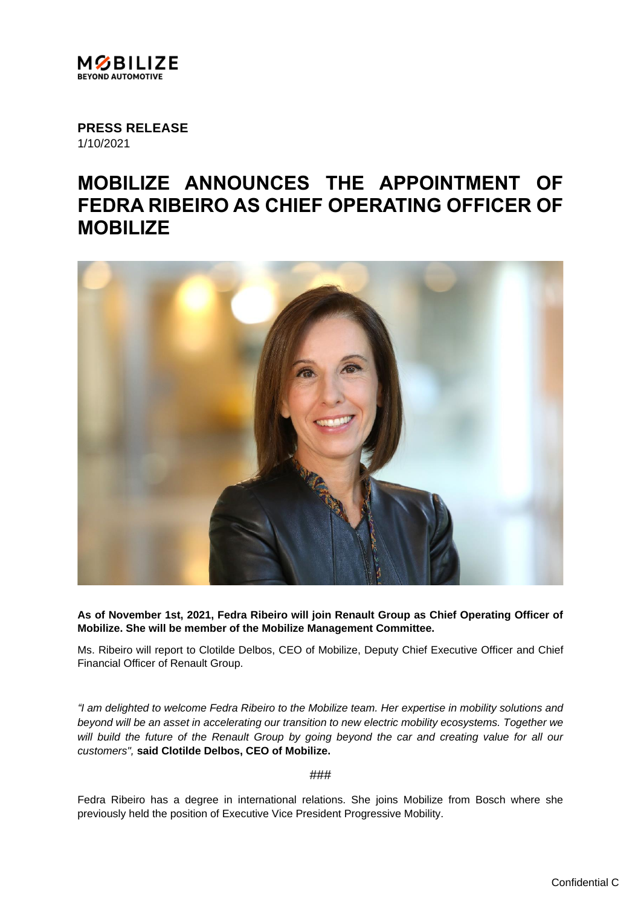

**PRESS RELEASE** 1/10/2021

## **MOBILIZE ANNOUNCES THE APPOINTMENT OF FEDRA RIBEIRO AS CHIEF OPERATING OFFICER OF MOBILIZE**



**As of November 1st, 2021, Fedra Ribeiro will join Renault Group as Chief Operating Officer of Mobilize. She will be member of the Mobilize Management Committee.**

Ms. Ribeiro will report to Clotilde Delbos, CEO of Mobilize, Deputy Chief Executive Officer and Chief Financial Officer of Renault Group.

*"I am delighted to welcome Fedra Ribeiro to the Mobilize team. Her expertise in mobility solutions and beyond will be an asset in accelerating our transition to new electric mobility ecosystems. Together we will build the future of the Renault Group by going beyond the car and creating value for all our customers",* **said Clotilde Delbos, CEO of Mobilize.**

###

Fedra Ribeiro has a degree in international relations. She joins Mobilize from Bosch where she previously held the position of Executive Vice President Progressive Mobility.